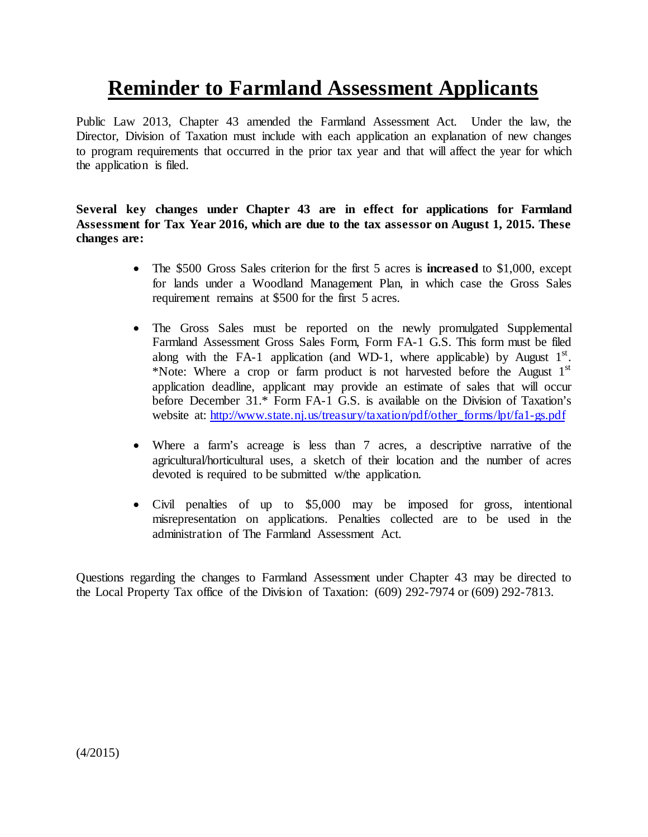# **Reminder to Farmland Assessment Applicants**

Public Law 2013, Chapter 43 amended the Farmland Assessment Act. Under the law, the Director, Division of Taxation must include with each application an explanation of new changes to program requirements that occurred in the prior tax year and that will affect the year for which the application is filed.

**Several key changes under Chapter 43 are in effect for applications for Farmland Assessment for Tax Year 2016, which are due to the tax assessor on August 1, 2015. These changes are:**

- The \$500 Gross Sales criterion for the first 5 acres is **increased** to \$1,000, except for lands under a Woodland Management Plan, in which case the Gross Sales requirement remains at \$500 for the first 5 acres.
- The Gross Sales must be reported on the newly promulgated Supplemental Farmland Assessment Gross Sales Form, Form FA-1 G.S. This form must be filed along with the FA-1 application (and WD-1, where applicable) by August  $1<sup>st</sup>$ . \*Note: Where a crop or farm product is not harvested before the August  $1<sup>st</sup>$ application deadline, applicant may provide an estimate of sales that will occur before December 31.\* Form FA-1 G.S. is available on the Division of Taxation's website at: [http://www.state.nj.us/treasury/taxation/pdf/other\\_forms/lpt/fa1-gs.pdf](http://www.state.nj.us/treasury/taxation/pdf/other_forms/lpt/fa1-gs.pdf)
- Where a farm's acreage is less than 7 acres, a descriptive narrative of the agricultural/horticultural uses, a sketch of their location and the number of acres devoted is required to be submitted w/the application.
- Civil penalties of up to \$5,000 may be imposed for gross, intentional misrepresentation on applications. Penalties collected are to be used in the administration of The Farmland Assessment Act.

Questions regarding the changes to Farmland Assessment under Chapter 43 may be directed to the Local Property Tax office of the Division of Taxation: (609) 292-7974 or (609) 292-7813.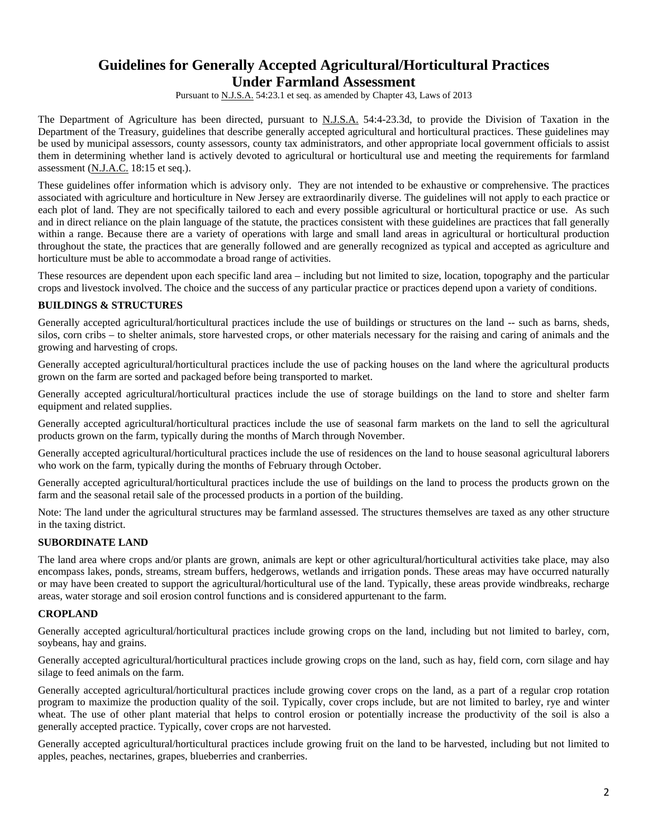# **Guidelines for Generally Accepted Agricultural/Horticultural Practices Under Farmland Assessment**

Pursuant to N.J.S.A. 54:23.1 et seq. as amended by Chapter 43, Laws of 2013

The Department of Agriculture has been directed, pursuant to N.J.S.A. 54:4-23.3d, to provide the Division of Taxation in the Department of the Treasury, guidelines that describe generally accepted agricultural and horticultural practices. These guidelines may be used by municipal assessors, county assessors, county tax administrators, and other appropriate local government officials to assist them in determining whether land is actively devoted to agricultural or horticultural use and meeting the requirements for farmland assessment (N.J.A.C. 18:15 et seq.).

These guidelines offer information which is advisory only. They are not intended to be exhaustive or comprehensive. The practices associated with agriculture and horticulture in New Jersey are extraordinarily diverse. The guidelines will not apply to each practice or each plot of land. They are not specifically tailored to each and every possible agricultural or horticultural practice or use. As such and in direct reliance on the plain language of the statute, the practices consistent with these guidelines are practices that fall generally within a range. Because there are a variety of operations with large and small land areas in agricultural or horticultural production throughout the state, the practices that are generally followed and are generally recognized as typical and accepted as agriculture and horticulture must be able to accommodate a broad range of activities.

These resources are dependent upon each specific land area – including but not limited to size, location, topography and the particular crops and livestock involved. The choice and the success of any particular practice or practices depend upon a variety of conditions.

## **BUILDINGS & STRUCTURES**

Generally accepted agricultural/horticultural practices include the use of buildings or structures on the land -- such as barns, sheds, silos, corn cribs – to shelter animals, store harvested crops, or other materials necessary for the raising and caring of animals and the growing and harvesting of crops.

Generally accepted agricultural/horticultural practices include the use of packing houses on the land where the agricultural products grown on the farm are sorted and packaged before being transported to market.

Generally accepted agricultural/horticultural practices include the use of storage buildings on the land to store and shelter farm equipment and related supplies.

Generally accepted agricultural/horticultural practices include the use of seasonal farm markets on the land to sell the agricultural products grown on the farm, typically during the months of March through November.

Generally accepted agricultural/horticultural practices include the use of residences on the land to house seasonal agricultural laborers who work on the farm, typically during the months of February through October.

Generally accepted agricultural/horticultural practices include the use of buildings on the land to process the products grown on the farm and the seasonal retail sale of the processed products in a portion of the building.

Note: The land under the agricultural structures may be farmland assessed. The structures themselves are taxed as any other structure in the taxing district.

#### **SUBORDINATE LAND**

The land area where crops and/or plants are grown, animals are kept or other agricultural/horticultural activities take place, may also encompass lakes, ponds, streams, stream buffers, hedgerows, wetlands and irrigation ponds. These areas may have occurred naturally or may have been created to support the agricultural/horticultural use of the land. Typically, these areas provide windbreaks, recharge areas, water storage and soil erosion control functions and is considered appurtenant to the farm.

#### **CROPLAND**

Generally accepted agricultural/horticultural practices include growing crops on the land, including but not limited to barley, corn, soybeans, hay and grains.

Generally accepted agricultural/horticultural practices include growing crops on the land, such as hay, field corn, corn silage and hay silage to feed animals on the farm.

Generally accepted agricultural/horticultural practices include growing cover crops on the land, as a part of a regular crop rotation program to maximize the production quality of the soil. Typically, cover crops include, but are not limited to barley, rye and winter wheat. The use of other plant material that helps to control erosion or potentially increase the productivity of the soil is also a generally accepted practice. Typically, cover crops are not harvested.

Generally accepted agricultural/horticultural practices include growing fruit on the land to be harvested, including but not limited to apples, peaches, nectarines, grapes, blueberries and cranberries.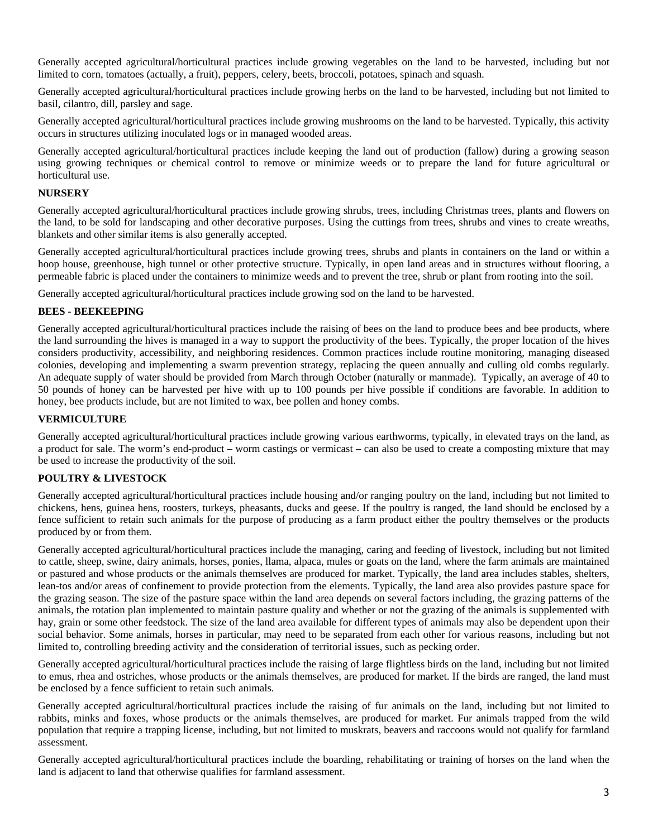Generally accepted agricultural/horticultural practices include growing vegetables on the land to be harvested, including but not limited to corn, tomatoes (actually, a fruit), peppers, celery, beets, broccoli, potatoes, spinach and squash.

Generally accepted agricultural/horticultural practices include growing herbs on the land to be harvested, including but not limited to basil, cilantro, dill, parsley and sage.

Generally accepted agricultural/horticultural practices include growing mushrooms on the land to be harvested. Typically, this activity occurs in structures utilizing inoculated logs or in managed wooded areas.

Generally accepted agricultural/horticultural practices include keeping the land out of production (fallow) during a growing season using growing techniques or chemical control to remove or minimize weeds or to prepare the land for future agricultural or horticultural use.

#### **NURSERY**

Generally accepted agricultural/horticultural practices include growing shrubs, trees, including Christmas trees, plants and flowers on the land, to be sold for landscaping and other decorative purposes. Using the cuttings from trees, shrubs and vines to create wreaths, blankets and other similar items is also generally accepted.

Generally accepted agricultural/horticultural practices include growing trees, shrubs and plants in containers on the land or within a hoop house, greenhouse, high tunnel or other protective structure. Typically, in open land areas and in structures without flooring, a permeable fabric is placed under the containers to minimize weeds and to prevent the tree, shrub or plant from rooting into the soil.

Generally accepted agricultural/horticultural practices include growing sod on the land to be harvested.

#### **BEES - BEEKEEPING**

Generally accepted agricultural/horticultural practices include the raising of bees on the land to produce bees and bee products, where the land surrounding the hives is managed in a way to support the productivity of the bees. Typically, the proper location of the hives considers productivity, accessibility, and neighboring residences. Common practices include routine monitoring, managing diseased colonies, developing and implementing a swarm prevention strategy, replacing the queen annually and culling old combs regularly. An adequate supply of water should be provided from March through October (naturally or manmade). Typically, an average of 40 to 50 pounds of honey can be harvested per hive with up to 100 pounds per hive possible if conditions are favorable. In addition to honey, bee products include, but are not limited to wax, bee pollen and honey combs.

#### **VERMICULTURE**

Generally accepted agricultural/horticultural practices include growing various earthworms, typically, in elevated trays on the land, as a product for sale. The worm's end-product – worm castings or vermicast – can also be used to create a composting mixture that may be used to increase the productivity of the soil.

#### **POULTRY & LIVESTOCK**

Generally accepted agricultural/horticultural practices include housing and/or ranging poultry on the land, including but not limited to chickens, hens, guinea hens, roosters, turkeys, pheasants, ducks and geese. If the poultry is ranged, the land should be enclosed by a fence sufficient to retain such animals for the purpose of producing as a farm product either the poultry themselves or the products produced by or from them.

Generally accepted agricultural/horticultural practices include the managing, caring and feeding of livestock, including but not limited to cattle, sheep, swine, dairy animals, horses, ponies, llama, alpaca, mules or goats on the land, where the farm animals are maintained or pastured and whose products or the animals themselves are produced for market. Typically, the land area includes stables, shelters, lean-tos and/or areas of confinement to provide protection from the elements. Typically, the land area also provides pasture space for the grazing season. The size of the pasture space within the land area depends on several factors including, the grazing patterns of the animals, the rotation plan implemented to maintain pasture quality and whether or not the grazing of the animals is supplemented with hay, grain or some other feedstock. The size of the land area available for different types of animals may also be dependent upon their social behavior. Some animals, horses in particular, may need to be separated from each other for various reasons, including but not limited to, controlling breeding activity and the consideration of territorial issues, such as pecking order.

Generally accepted agricultural/horticultural practices include the raising of large flightless birds on the land, including but not limited to emus, rhea and ostriches, whose products or the animals themselves, are produced for market. If the birds are ranged, the land must be enclosed by a fence sufficient to retain such animals.

Generally accepted agricultural/horticultural practices include the raising of fur animals on the land, including but not limited to rabbits, minks and foxes, whose products or the animals themselves, are produced for market. Fur animals trapped from the wild population that require a trapping license, including, but not limited to muskrats, beavers and raccoons would not qualify for farmland assessment.

Generally accepted agricultural/horticultural practices include the boarding, rehabilitating or training of horses on the land when the land is adjacent to land that otherwise qualifies for farmland assessment.